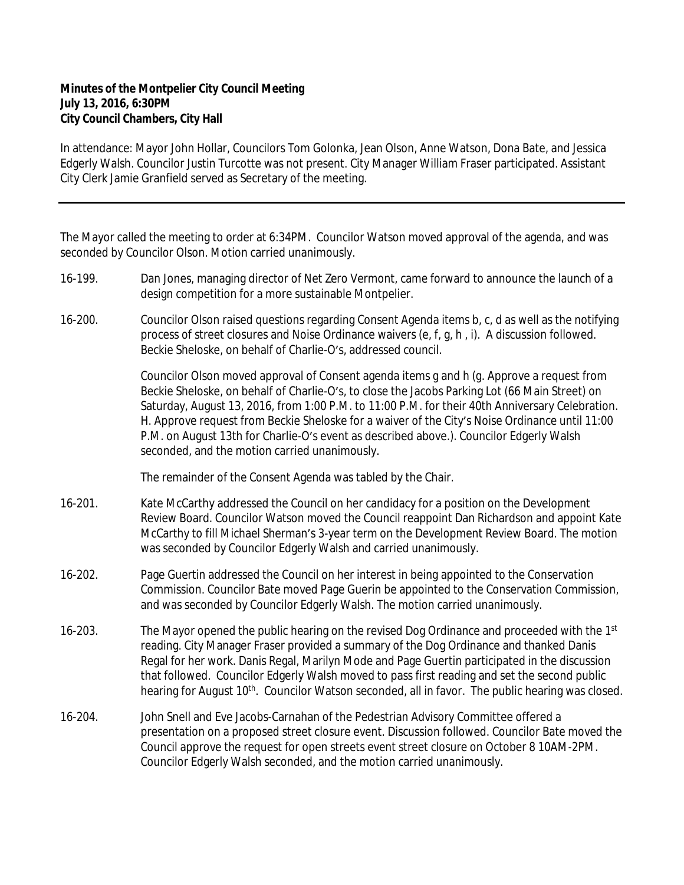## **Minutes of the Montpelier City Council Meeting July 13, 2016, 6:30PM City Council Chambers, City Hall**

In attendance: Mayor John Hollar, Councilors Tom Golonka, Jean Olson, Anne Watson, Dona Bate, and Jessica Edgerly Walsh. Councilor Justin Turcotte was not present. City Manager William Fraser participated. Assistant City Clerk Jamie Granfield served as Secretary of the meeting.

The Mayor called the meeting to order at 6:34PM. Councilor Watson moved approval of the agenda, and was seconded by Councilor Olson. Motion carried unanimously.

- 16-199. Dan Jones, managing director of Net Zero Vermont, came forward to announce the launch of a design competition for a more sustainable Montpelier.
- 16-200. Councilor Olson raised questions regarding Consent Agenda items b, c, d as well as the notifying process of street closures and Noise Ordinance waivers (e, f, g, h , i). A discussion followed. Beckie Sheloske, on behalf of Charlie-O's, addressed council.

Councilor Olson moved approval of Consent agenda items g and h (g. Approve a request from Beckie Sheloske, on behalf of Charlie-O's, to close the Jacobs Parking Lot (66 Main Street) on Saturday, August 13, 2016, from 1:00 P.M. to 11:00 P.M. for their 40th Anniversary Celebration. H. Approve request from Beckie Sheloske for a waiver of the City's Noise Ordinance until 11:00 P.M. on August 13th for Charlie-O's event as described above.). Councilor Edgerly Walsh seconded, and the motion carried unanimously.

The remainder of the Consent Agenda was tabled by the Chair.

- 16-201. Kate McCarthy addressed the Council on her candidacy for a position on the Development Review Board. Councilor Watson moved the Council reappoint Dan Richardson and appoint Kate McCarthy to fill Michael Sherman's 3-year term on the Development Review Board. The motion was seconded by Councilor Edgerly Walsh and carried unanimously.
- 16-202. Page Guertin addressed the Council on her interest in being appointed to the Conservation Commission. Councilor Bate moved Page Guerin be appointed to the Conservation Commission, and was seconded by Councilor Edgerly Walsh. The motion carried unanimously.
- 16-203. The Mayor opened the public hearing on the revised Dog Ordinance and proceeded with the  $1<sup>st</sup>$ reading. City Manager Fraser provided a summary of the Dog Ordinance and thanked Danis Regal for her work. Danis Regal, Marilyn Mode and Page Guertin participated in the discussion that followed. Councilor Edgerly Walsh moved to pass first reading and set the second public hearing for August 10<sup>th</sup>. Councilor Watson seconded, all in favor. The public hearing was closed.
- 16-204. John Snell and Eve Jacobs-Carnahan of the Pedestrian Advisory Committee offered a presentation on a proposed street closure event. Discussion followed. Councilor Bate moved the Council approve the request for open streets event street closure on October 8 10AM-2PM. Councilor Edgerly Walsh seconded, and the motion carried unanimously.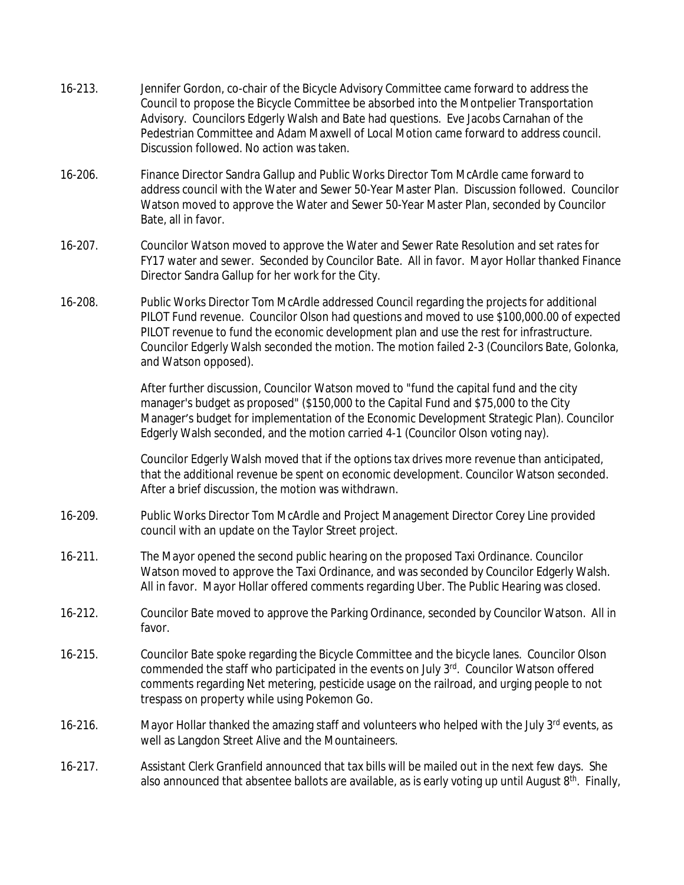- 16-213. Jennifer Gordon, co-chair of the Bicycle Advisory Committee came forward to address the Council to propose the Bicycle Committee be absorbed into the Montpelier Transportation Advisory. Councilors Edgerly Walsh and Bate had questions. Eve Jacobs Carnahan of the Pedestrian Committee and Adam Maxwell of Local Motion came forward to address council. Discussion followed. No action was taken.
- 16-206. Finance Director Sandra Gallup and Public Works Director Tom McArdle came forward to address council with the Water and Sewer 50-Year Master Plan. Discussion followed. Councilor Watson moved to approve the Water and Sewer 50-Year Master Plan, seconded by Councilor Bate, all in favor.
- 16-207. Councilor Watson moved to approve the Water and Sewer Rate Resolution and set rates for FY17 water and sewer. Seconded by Councilor Bate. All in favor. Mayor Hollar thanked Finance Director Sandra Gallup for her work for the City.
- 16-208. Public Works Director Tom McArdle addressed Council regarding the projects for additional PILOT Fund revenue. Councilor Olson had questions and moved to use \$100,000.00 of expected PILOT revenue to fund the economic development plan and use the rest for infrastructure. Councilor Edgerly Walsh seconded the motion. The motion failed 2-3 (Councilors Bate, Golonka, and Watson opposed).

After further discussion, Councilor Watson moved to "fund the capital fund and the city manager's budget as proposed" (\$150,000 to the Capital Fund and \$75,000 to the City Manager's budget for implementation of the Economic Development Strategic Plan). Councilor Edgerly Walsh seconded, and the motion carried 4-1 (Councilor Olson voting nay).

Councilor Edgerly Walsh moved that if the options tax drives more revenue than anticipated, that the additional revenue be spent on economic development. Councilor Watson seconded. After a brief discussion, the motion was withdrawn.

- 16-209. Public Works Director Tom McArdle and Project Management Director Corey Line provided council with an update on the Taylor Street project.
- 16-211. The Mayor opened the second public hearing on the proposed Taxi Ordinance. Councilor Watson moved to approve the Taxi Ordinance, and was seconded by Councilor Edgerly Walsh. All in favor. Mayor Hollar offered comments regarding Uber. The Public Hearing was closed.
- 16-212. Councilor Bate moved to approve the Parking Ordinance, seconded by Councilor Watson. All in favor.
- 16-215. Councilor Bate spoke regarding the Bicycle Committee and the bicycle lanes. Councilor Olson commended the staff who participated in the events on July 3rd. Councilor Watson offered comments regarding Net metering, pesticide usage on the railroad, and urging people to not trespass on property while using Pokemon Go.
- 16-216. Mayor Hollar thanked the amazing staff and volunteers who helped with the July 3<sup>rd</sup> events, as well as Langdon Street Alive and the Mountaineers.
- 16-217. Assistant Clerk Granfield announced that tax bills will be mailed out in the next few days. She also announced that absentee ballots are available, as is early voting up until August 8<sup>th</sup>. Finally,